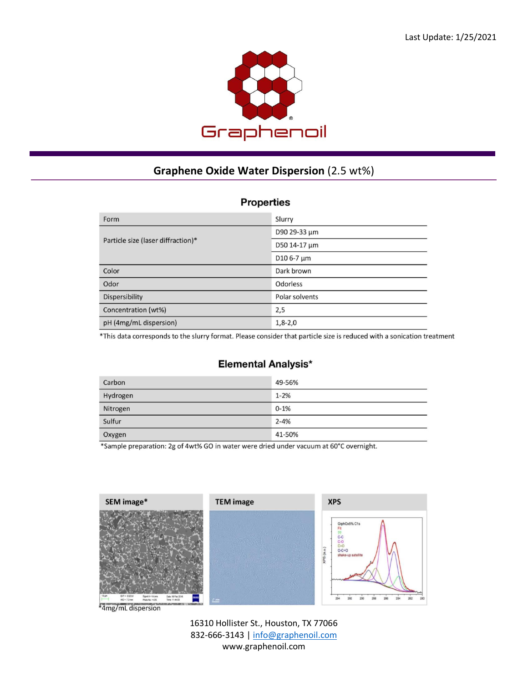

## **Graphene Oxide Water Dispersion** (2.5 wt%)

## **Properties**

| Form                               | Slurry         |
|------------------------------------|----------------|
| Particle size (laser diffraction)* | D90 29-33 µm   |
|                                    | D50 14-17 µm   |
|                                    | D10 6-7 µm     |
| Color                              | Dark brown     |
| Odor                               | Odorless       |
| Dispersibility                     | Polar solvents |
| Concentration (wt%)                | 2,5            |
| pH (4mg/mL dispersion)             | $1,8-2,0$      |

\*This data corresponds to the slurry format. Please consider that particle size is reduced with a sonication treatment

## Elemental Analysis\*

| Carbon   | 49-56%   |
|----------|----------|
| Hydrogen | $1 - 2%$ |
| Nitrogen | $0 - 1%$ |
| Sulfur   | $2 - 4%$ |
| Oxygen   | 41-50%   |

\*Sample preparation: 2g of 4wt% GO in water were dried under vacuum at 60°C overnight.



\*4mg/mL dispersion

16310 Hollister St., Houston, TX 77066 832-666-3143 [| info@graphenoil.com](mailto:info@graphenoil.com) www.graphenoil.com